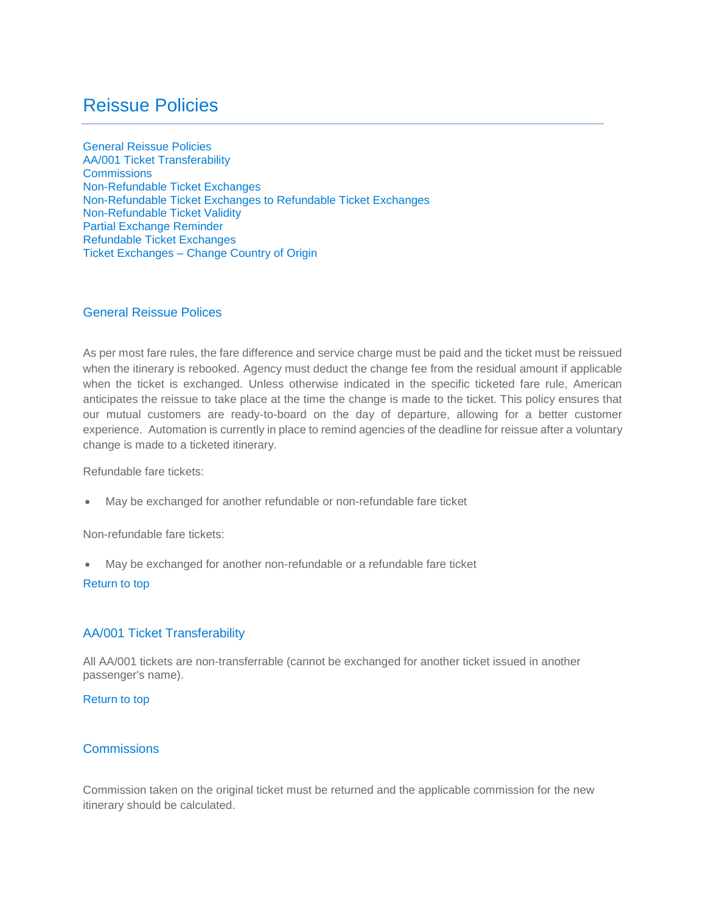# <span id="page-0-3"></span>Reissue Policies

[General Reissue Policies](#page-0-0) [AA/001 Ticket Transferability](#page-0-1) **[Commissions](#page-0-2)** [Non-Refundable Ticket Exchanges](#page-1-0) [Non-Refundable Ticket Exchanges to Refundable Ticket Exchanges](#page-1-1) [Non-Refundable Ticket Validity](#page-2-0) [Partial Exchange Reminder](#page-3-0) [Refundable Ticket Exchanges](#page-3-1) Ticket Exchanges – [Change Country of Origin](#page-4-0) 

## <span id="page-0-0"></span>General Reissue Polices

As per most fare rules, the fare difference and service charge must be paid and the ticket must be reissued when the itinerary is rebooked. Agency must deduct the change fee from the residual amount if applicable when the ticket is exchanged. Unless otherwise indicated in the specific ticketed fare rule, American anticipates the reissue to take place at the time the change is made to the ticket. This policy ensures that our mutual customers are ready-to-board on the day of departure, allowing for a better customer experience. Automation is currently in place to remind agencies of the deadline for reissue after a voluntary change is made to a ticketed itinerary.

Refundable fare tickets:

May be exchanged for another refundable or non-refundable fare ticket

Non-refundable fare tickets:

May be exchanged for another non-refundable or a refundable fare ticket

## [Return to top](#page-0-3)

# <span id="page-0-1"></span>AA/001 Ticket Transferability

All AA/001 tickets are non-transferrable (cannot be exchanged for another ticket issued in another passenger's name).

#### [Return to top](#page-0-3)

# <span id="page-0-2"></span>**Commissions**

Commission taken on the original ticket must be returned and the applicable commission for the new itinerary should be calculated.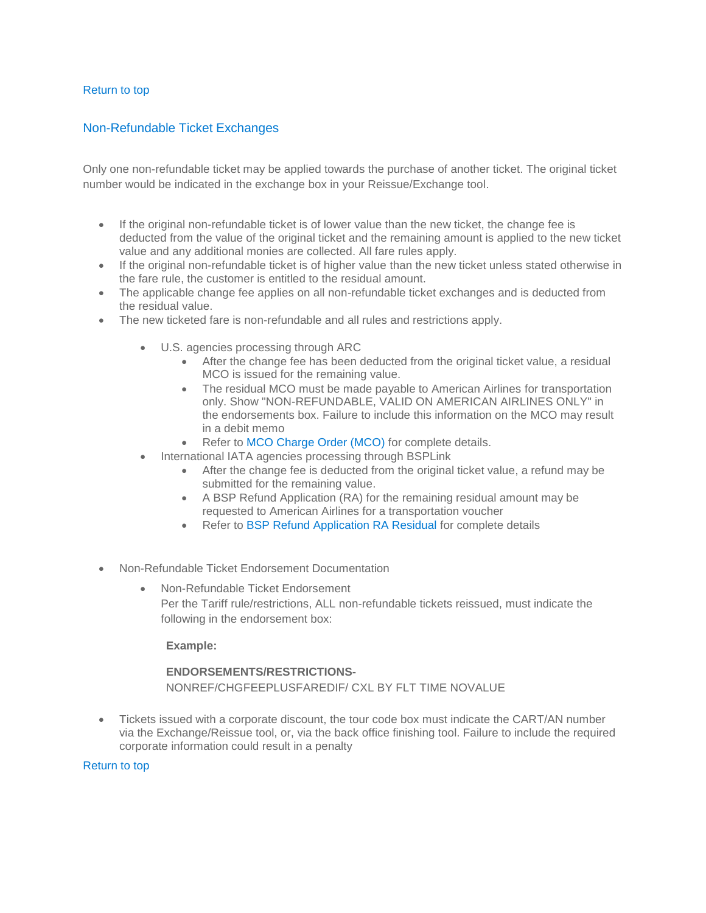### [Return to top](#page-0-3)

## <span id="page-1-0"></span>Non-Refundable Ticket Exchanges

Only one non-refundable ticket may be applied towards the purchase of another ticket. The original ticket number would be indicated in the exchange box in your Reissue/Exchange tool.

- If the original non-refundable ticket is of lower value than the new ticket, the change fee is deducted from the value of the original ticket and the remaining amount is applied to the new ticket value and any additional monies are collected. All fare rules apply.
- If the original non-refundable ticket is of higher value than the new ticket unless stated otherwise in the fare rule, the customer is entitled to the residual amount.
- The applicable change fee applies on all non-refundable ticket exchanges and is deducted from the residual value.
- The new ticketed fare is non-refundable and all rules and restrictions apply.
	- U.S. agencies processing through ARC
		- After the change fee has been deducted from the original ticket value, a residual MCO is issued for the remaining value.
		- The residual MCO must be made payable to American Airlines for transportation only. Show "NON-REFUNDABLE, VALID ON AMERICAN AIRLINES ONLY" in the endorsements box. Failure to include this information on the MCO may result in a debit memo
		- Refer to [MCO Charge Order \(MCO\)](https://www.aasaleslink.com/en-US/documents/Archives/AgencyRef/Miscellaneous_Charge_Orders_MCO.pdf) for complete details.
	- International IATA agencies processing through BSPLink
		- After the change fee is deducted from the original ticket value, a refund may be submitted for the remaining value.
		- A BSP Refund Application (RA) for the remaining residual amount may be requested to American Airlines for a transportation voucher
		- Refer to [BSP Refund Application RA Residual](https://www.aasaleslink.com/en-US/documents/Archives/AgencyRef/BSP_Refund_Application_RA_Residual.pdf) for complete details
- Non-Refundable Ticket Endorsement Documentation
	- Non-Refundable Ticket Endorsement Per the Tariff rule/restrictions, ALL non-refundable tickets reissued, must indicate the following in the endorsement box:

#### **Example:**

# **ENDORSEMENTS/RESTRICTIONS-**NONREF/CHGFEEPLUSFAREDIF/ CXL BY FLT TIME NOVALUE

 Tickets issued with a corporate discount, the tour code box must indicate the CART/AN number via the Exchange/Reissue tool, or, via the back office finishing tool. Failure to include the required corporate information could result in a penalty

<span id="page-1-1"></span>[Return to top](#page-0-3)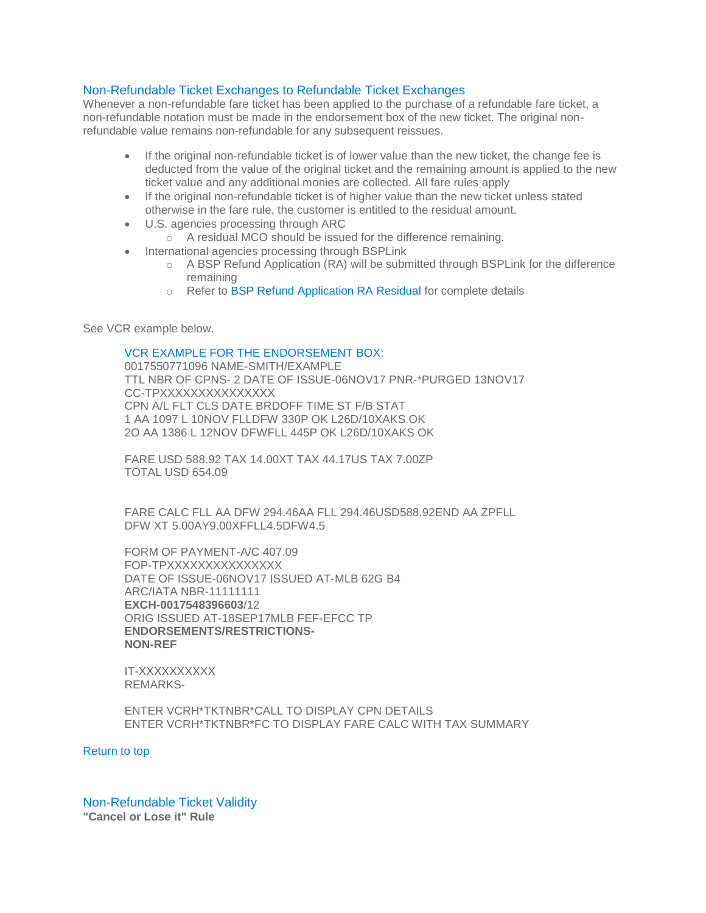## Non-Refundable Ticket Exchanges to Refundable Ticket Exchanges

Whenever a non-refundable fare ticket has been applied to the purchase of a refundable fare ticket, a non-refundable notation must be made in the endorsement box of the new ticket. The original nonrefundable value remains non-refundable for any subsequent reissues.

- If the original non-refundable ticket is of lower value than the new ticket, the change fee is deducted from the value of the original ticket and the remaining amount is applied to the new ticket value and any additional monies are collected. All fare rules apply
- If the original non-refundable ticket is of higher value than the new ticket unless stated otherwise in the fare rule, the customer is entitled to the residual amount.
- U.S. agencies processing through ARC
	- o A residual MCO should be issued for the difference remaining.
- International agencies processing through BSPLink
	- o A BSP Refund Application (RA) will be submitted through BSPLink for the difference remaining
	- o Refer to [BSP Refund Application RA Residual](https://www.aasaleslink.com/en-US/documents/Archives/AgencyRef/BSP_Refund_Application_RA_Residual.pdf) for complete details

See VCR example below.

#### VCR EXAMPLE FOR THE ENDORSEMENT BOX:

0017550771096 NAME-SMITH/EXAMPLE TTL NBR OF CPNS- 2 DATE OF ISSUE-06NOV17 PNR-\*PURGED 13NOV17 CC-TPXXXXXXXXXXXXXXX CPN A/L FLT CLS DATE BRDOFF TIME ST F/B STAT 1 AA 1097 L 10NOV FLLDFW 330P OK L26D/10XAKS OK 2O AA 1386 L 12NOV DFWFLL 445P OK L26D/10XAKS OK

FARE USD 588.92 TAX 14.00XT TAX 44.17US TAX 7.00ZP TOTAL USD 654.09

FARE CALC FLL AA DFW 294.46AA FLL 294.46USD588.92END AA ZPFLL DFW XT 5.00AY9.00XFFLL4.5DFW4.5

FORM OF PAYMENT-A/C 407.09 FOP-TPXXXXXXXXXXXXXXX DATE OF ISSUE-06NOV17 ISSUED AT-MLB 62G B4 ARC/IATA NBR-11111111 **EXCH-0017548396603**/12 ORIG ISSUED AT-18SEP17MLB FEF-EFCC TP **ENDORSEMENTS/RESTRICTIONS-NON-REF**

IT-XXXXXXXXXX REMARKS-

ENTER VCRH\*TKTNBR\*CALL TO DISPLAY CPN DETAILS ENTER VCRH\*TKTNBR\*FC TO DISPLAY FARE CALC WITH TAX SUMMARY

[Return to top](#page-0-3)

<span id="page-2-0"></span>Non-Refundable Ticket Validity **"Cancel or Lose it" Rule**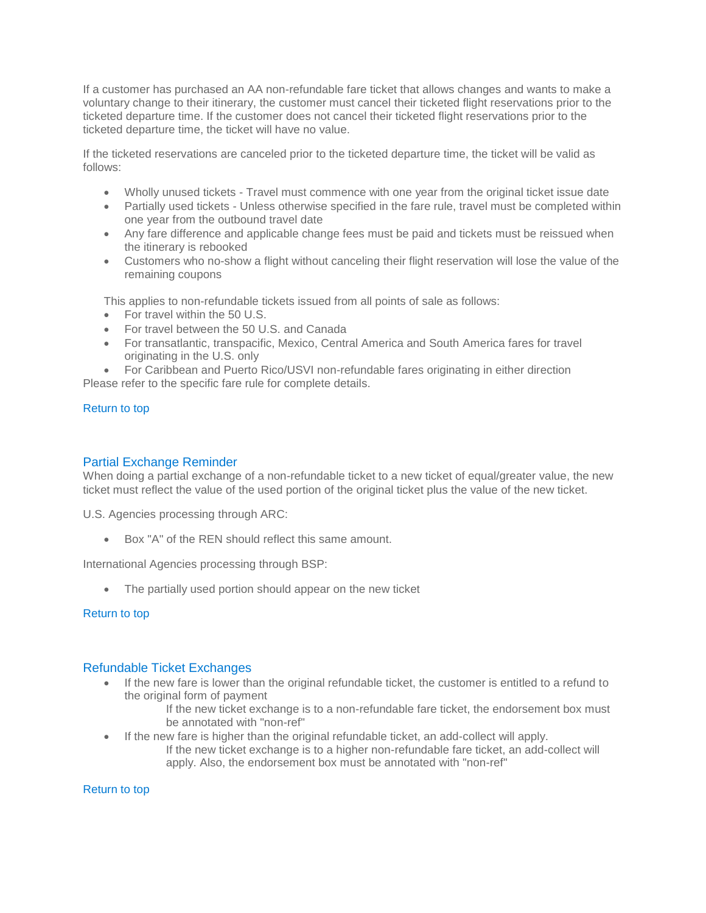If a customer has purchased an AA non-refundable fare ticket that allows changes and wants to make a voluntary change to their itinerary, the customer must cancel their ticketed flight reservations prior to the ticketed departure time. If the customer does not cancel their ticketed flight reservations prior to the ticketed departure time, the ticket will have no value.

If the ticketed reservations are canceled prior to the ticketed departure time, the ticket will be valid as follows:

- Wholly unused tickets Travel must commence with one year from the original ticket issue date
- Partially used tickets Unless otherwise specified in the fare rule, travel must be completed within one year from the outbound travel date
- Any fare difference and applicable change fees must be paid and tickets must be reissued when the itinerary is rebooked
- Customers who no-show a flight without canceling their flight reservation will lose the value of the remaining coupons

This applies to non-refundable tickets issued from all points of sale as follows:

- For travel within the 50 U.S.
- For travel between the 50 U.S. and Canada
- For transatlantic, transpacific, Mexico, Central America and South America fares for travel originating in the U.S. only

 For Caribbean and Puerto Rico/USVI non-refundable fares originating in either direction Please refer to the specific fare rule for complete details.

#### <span id="page-3-0"></span>[Return to top](#page-0-3)

## Partial Exchange Reminder

When doing a partial exchange of a non-refundable ticket to a new ticket of equal/greater value, the new ticket must reflect the value of the used portion of the original ticket plus the value of the new ticket.

U.S. Agencies processing through ARC:

Box "A" of the REN should reflect this same amount.

International Agencies processing through BSP:

• The partially used portion should appear on the new ticket

#### [Return to top](#page-0-3)

#### <span id="page-3-1"></span>Refundable Ticket Exchanges

 If the new fare is lower than the original refundable ticket, the customer is entitled to a refund to the original form of payment

If the new ticket exchange is to a non-refundable fare ticket, the endorsement box must be annotated with "non-ref"

- If the new fare is higher than the original refundable ticket, an add-collect will apply.
	- If the new ticket exchange is to a higher non-refundable fare ticket, an add-collect will apply. Also, the endorsement box must be annotated with "non-ref"

[Return to top](#page-0-3)